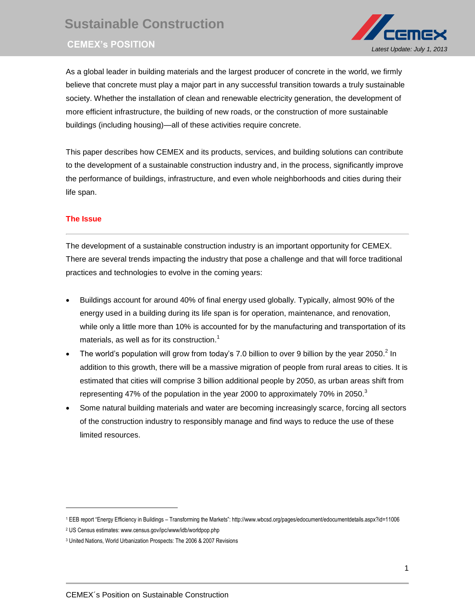# **Sustainable Construction CEMEX's POSITION** *Latest Update: July 1, 2013*



As a global leader in building materials and the largest producer of concrete in the world, we firmly believe that concrete must play a major part in any successful transition towards a truly sustainable society. Whether the installation of clean and renewable electricity generation, the development of more efficient infrastructure, the building of new roads, or the construction of more sustainable buildings (including housing)—all of these activities require concrete.

This paper describes how CEMEX and its products, services, and building solutions can contribute to the development of a sustainable construction industry and, in the process, significantly improve the performance of buildings, infrastructure, and even whole neighborhoods and cities during their life span.

# **The Issue**

l

The development of a sustainable construction industry is an important opportunity for CEMEX. There are several trends impacting the industry that pose a challenge and that will force traditional practices and technologies to evolve in the coming years:

- Buildings account for around 40% of final energy used globally. Typically, almost 90% of the energy used in a building during its life span is for operation, maintenance, and renovation, while only a little more than 10% is accounted for by the manufacturing and transportation of its materials, as well as for its construction.<sup>1</sup>
- The world's population will grow from today's 7.0 billion to over 9 billion by the year 2050.<sup>2</sup> In addition to this growth, there will be a massive migration of people from rural areas to cities. It is estimated that cities will comprise 3 billion additional people by 2050, as urban areas shift from representing 47% of the population in the year 2000 to approximately 70% in 2050.<sup>3</sup>
- Some natural building materials and water are becoming increasingly scarce, forcing all sectors of the construction industry to responsibly manage and find ways to reduce the use of these limited resources.

<sup>1</sup> EEB report "Energy Efficiency in Buildings – Transforming the Markets": http://www.wbcsd.org/pages/edocument/edocumentdetails.aspx?id=11006

<sup>2</sup> US Census estimates: www.census.gov/ipc/www/idb/worldpop.php

<sup>3</sup> United Nations, World Urbanization Prospects: The 2006 & 2007 Revisions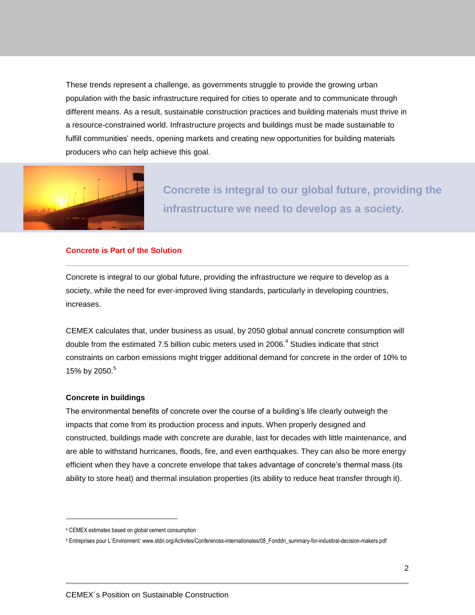These trends represent a challenge, as governments struggle to provide the growing urban population with the basic infrastructure required for cities to operate and to communicate through different means. As a result, sustainable construction practices and building materials must thrive in a resource-constrained world. Infrastructure projects and buildings must be made sustainable to fulfill communities' needs, opening markets and creating new opportunities for building materials producers who can help achieve this goal.



**Concrete is integral to our global future, providing the infrastructure we need to develop as a society.**

### **Concrete is Part of the Solution**

Concrete is integral to our global future, providing the infrastructure we require to develop as a society, while the need for ever-improved living standards, particularly in developing countries, increases.

CEMEX calculates that, under business as usual, by 2050 global annual concrete consumption will double from the estimated 7.5 billion cubic meters used in 2006.<sup>4</sup> Studies indicate that strict constraints on carbon emissions might trigger additional demand for concrete in the order of 10% to 15% by 2050. 5

### **Concrete in buildings**

l

The environmental benefits of concrete over the course of a building's life clearly outweigh the impacts that come from its production process and inputs. When properly designed and constructed, buildings made with concrete are durable, last for decades with little maintenance, and are able to withstand hurricanes, floods, fire, and even earthquakes. They can also be more energy efficient when they have a concrete envelope that takes advantage of concrete's thermal mass (its ability to store heat) and thermal insulation properties (its ability to reduce heat transfer through it).

<sup>4</sup> CEMEX estimates based on global cement consumption

<sup>5</sup> Entreprises pour L´Environnent: www.iddri.org/Activites/Conferences-internationales/08\_Fonddri\_summary-for-industiral-decision-makers.pdf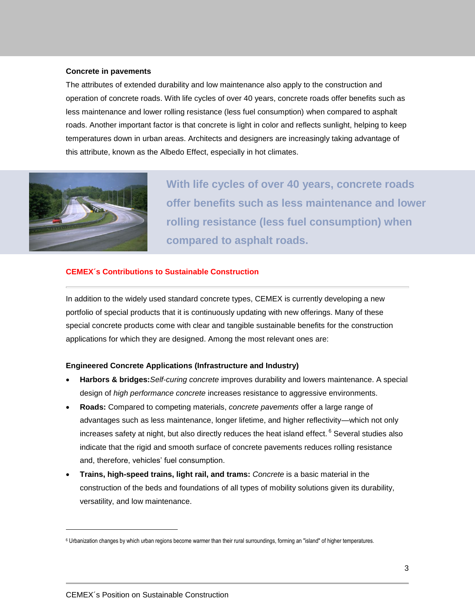## **Concrete in pavements**

The attributes of extended durability and low maintenance also apply to the construction and operation of concrete roads. With life cycles of over 40 years, concrete roads offer benefits such as less maintenance and lower rolling resistance (less fuel consumption) when compared to asphalt roads. Another important factor is that concrete is light in color and reflects sunlight, helping to keep temperatures down in urban areas. Architects and designers are increasingly taking advantage of this attribute, known as the Albedo Effect, especially in hot climates.



 $\overline{a}$ 

**With life cycles of over 40 years, concrete roads offer benefits such as less maintenance and lower rolling resistance (less fuel consumption) when compared to asphalt roads.**

## **CEMEX´s Contributions to Sustainable Construction**

In addition to the widely used standard concrete types, CEMEX is currently developing a new portfolio of special products that it is continuously updating with new offerings. Many of these special concrete products come with clear and tangible sustainable benefits for the construction applications for which they are designed. Among the most relevant ones are:

## **Engineered Concrete Applications (Infrastructure and Industry)**

- **Harbors & bridges:***Self-curing concrete* improves durability and lowers maintenance. A special design of *high performance concrete* increases resistance to aggressive environments.
- **Roads:** Compared to competing materials, *concrete pavements* offer a large range of advantages such as less maintenance, longer lifetime, and higher reflectivity—which not only increases safety at night, but also directly reduces the heat island effect.  $^6$  Several studies also indicate that the rigid and smooth surface of concrete pavements reduces rolling resistance and, therefore, vehicles' fuel consumption.
- **Trains, high-speed trains, light rail, and trams:** *Concrete* is a basic material in the construction of the beds and foundations of all types of mobility solutions given its durability, versatility, and low maintenance.

<sup>6</sup> Urbanization changes by which urban regions become warmer than their rural surroundings, forming an "island" of higher temperatures.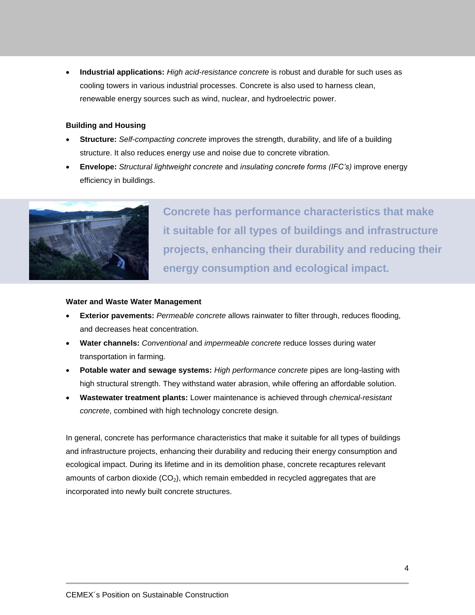**Industrial applications:** *High acid-resistance concrete* is robust and durable for such uses as cooling towers in various industrial processes. Concrete is also used to harness clean, renewable energy sources such as wind, nuclear, and hydroelectric power.

# **Building and Housing**

- **Structure:** *Self-compacting concrete* improves the strength, durability, and life of a building structure. It also reduces energy use and noise due to concrete vibration.
- **Envelope:** *Structural lightweight concrete* and *insulating concrete forms (IFC's)* improve energy efficiency in buildings.



**Concrete has performance characteristics that make it suitable for all types of buildings and infrastructure projects, enhancing their durability and reducing their energy consumption and ecological impact.**

# **Water and Waste Water Management**

- **Exterior pavements:** *Permeable concrete* allows rainwater to filter through, reduces flooding, and decreases heat concentration.
- **Water channels:** *Conventional* and *impermeable concrete* reduce losses during water transportation in farming.
- **Potable water and sewage systems:** *High performance concrete* pipes are long-lasting with high structural strength. They withstand water abrasion, while offering an affordable solution.
- **Wastewater treatment plants:** Lower maintenance is achieved through *chemical-resistant concrete*, combined with high technology concrete design.

In general, concrete has performance characteristics that make it suitable for all types of buildings and infrastructure projects, enhancing their durability and reducing their energy consumption and ecological impact. During its lifetime and in its demolition phase, concrete recaptures relevant amounts of carbon dioxide  $(CO<sub>2</sub>)$ , which remain embedded in recycled aggregates that are incorporated into newly built concrete structures.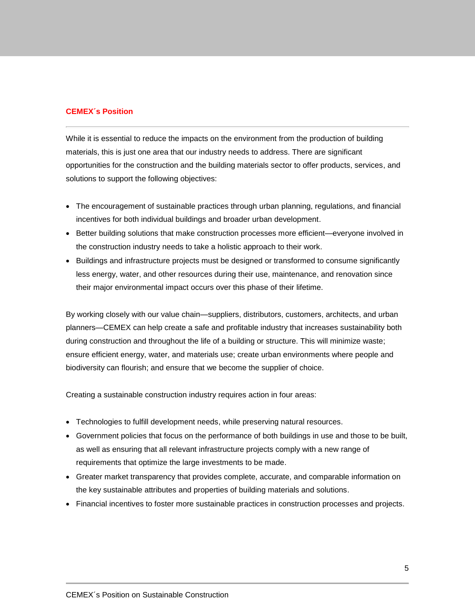# **CEMEX´s Position**

While it is essential to reduce the impacts on the environment from the production of building materials, this is just one area that our industry needs to address. There are significant opportunities for the construction and the building materials sector to offer products, services, and solutions to support the following objectives:

- The encouragement of sustainable practices through urban planning, regulations, and financial incentives for both individual buildings and broader urban development.
- Better building solutions that make construction processes more efficient—everyone involved in the construction industry needs to take a holistic approach to their work.
- Buildings and infrastructure projects must be designed or transformed to consume significantly less energy, water, and other resources during their use, maintenance, and renovation since their major environmental impact occurs over this phase of their lifetime.

By working closely with our value chain—suppliers, distributors, customers, architects, and urban planners—CEMEX can help create a safe and profitable industry that increases sustainability both during construction and throughout the life of a building or structure. This will minimize waste; ensure efficient energy, water, and materials use; create urban environments where people and biodiversity can flourish; and ensure that we become the supplier of choice.

Creating a sustainable construction industry requires action in four areas:

- Technologies to fulfill development needs, while preserving natural resources.
- Government policies that focus on the performance of both buildings in use and those to be built, as well as ensuring that all relevant infrastructure projects comply with a new range of requirements that optimize the large investments to be made.
- Greater market transparency that provides complete, accurate, and comparable information on the key sustainable attributes and properties of building materials and solutions.
- Financial incentives to foster more sustainable practices in construction processes and projects.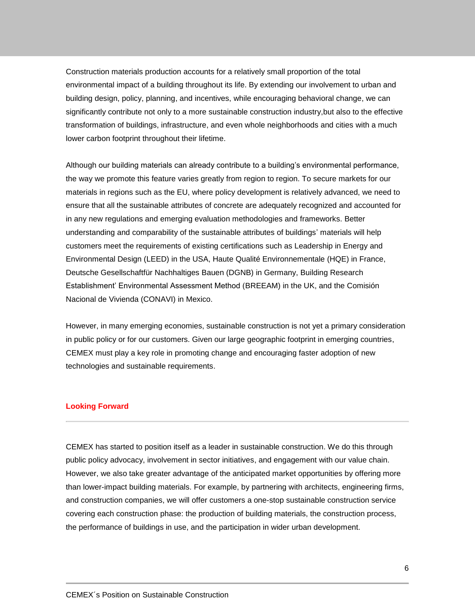Construction materials production accounts for a relatively small proportion of the total environmental impact of a building throughout its life. By extending our involvement to urban and building design, policy, planning, and incentives, while encouraging behavioral change, we can significantly contribute not only to a more sustainable construction industry,but also to the effective transformation of buildings, infrastructure, and even whole neighborhoods and cities with a much lower carbon footprint throughout their lifetime.

Although our building materials can already contribute to a building's environmental performance, the way we promote this feature varies greatly from region to region. To secure markets for our materials in regions such as the EU, where policy development is relatively advanced, we need to ensure that all the sustainable attributes of concrete are adequately recognized and accounted for in any new regulations and emerging evaluation methodologies and frameworks. Better understanding and comparability of the sustainable attributes of buildings' materials will help customers meet the requirements of existing certifications such as Leadership in Energy and Environmental Design (LEED) in the USA, Haute Qualité Environnementale (HQE) in France, Deutsche Gesellschaftfür Nachhaltiges Bauen (DGNB) in Germany, Building Research Establishment' Environmental Assessment Method (BREEAM) in the UK, and the Comisión Nacional de Vivienda (CONAVI) in Mexico.

However, in many emerging economies, sustainable construction is not yet a primary consideration in public policy or for our customers. Given our large geographic footprint in emerging countries, CEMEX must play a key role in promoting change and encouraging faster adoption of new technologies and sustainable requirements.

# **Looking Forward**

CEMEX has started to position itself as a leader in sustainable construction. We do this through public policy advocacy, involvement in sector initiatives, and engagement with our value chain. However, we also take greater advantage of the anticipated market opportunities by offering more than lower-impact building materials. For example, by partnering with architects, engineering firms, and construction companies, we will offer customers a one-stop sustainable construction service covering each construction phase: the production of building materials, the construction process, the performance of buildings in use, and the participation in wider urban development.